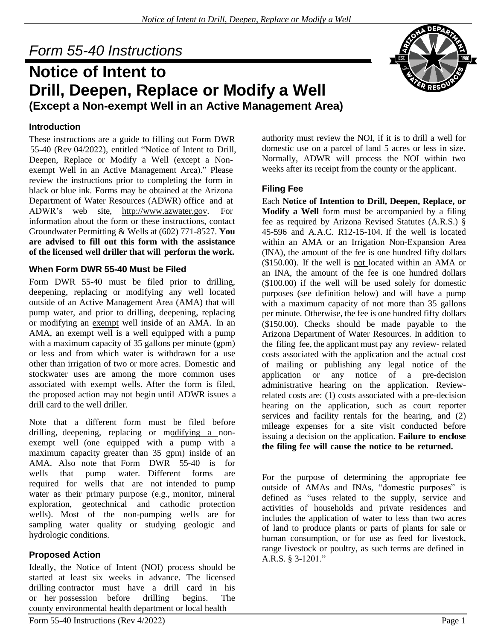# *Form 55-40 Instructions*

# **Notice of Intent to Drill, Deepen, Replace or Modify a Well (Except a Non-exempt Well in an Active Management Area)**

# **Introduction**

These instructions are a guide to filling out Form DWR 55-40 (Rev 04/2022), entitled "Notice of Intent to Drill, Deepen, Replace or Modify a Well (except a Nonexempt Well in an Active Management Area)." Please review the instructions prior to completing the form in black or blue ink. Forms may be obtained at the Arizona Department of Water Resources (ADWR) office and at ADWR's web site, [http://www.azwater.gov.](http://www.azwater.gov/) For information about the form or these instructions, contact Groundwater Permitting & Wells at (602) 771-8527. **You are advised to fill out this form with the assistance of the licensed well driller that will perform the work.**

# **When Form DWR 55-40 Must be Filed**

Form DWR 55-40 must be filed prior to drilling, deepening, replacing or modifying any well located outside of an Active Management Area (AMA) that will pump water, and prior to drilling, deepening, replacing or modifying an exempt well inside of an AMA. In an AMA, an exempt well is a well equipped with a pump with a maximum capacity of 35 gallons per minute (gpm) or less and from which water is withdrawn for a use other than irrigation of two or more acres. Domestic and stockwater uses are among the more common uses associated with exempt wells. After the form is filed, the proposed action may not begin until ADWR issues a drill card to the well driller.

Note that a different form must be filed before drilling, deepening, replacing or modifying a nonexempt well (one equipped with a pump with a maximum capacity greater than 35 gpm) inside of an AMA. Also note that Form DWR 55-40 is for wells that pump water. Different forms are required for wells that are not intended to pump water as their primary purpose (e.g., monitor, mineral exploration, geotechnical and cathodic protection wells). Most of the non-pumping wells are for sampling water quality or studying geologic and hydrologic conditions.

# **Proposed Action**

Ideally, the Notice of Intent (NOI) process should be started at least six weeks in advance. The licensed drilling contractor must have a drill card in his or her possession before drilling begins. The county environmental health department or local health

authority must review the NOI, if it is to drill a well for domestic use on a parcel of land 5 acres or less in size. Normally, ADWR will process the NOI within two weeks after its receipt from the county or the applicant.

# **Filing Fee**

Each **Notice of Intention to Drill, Deepen, Replace, or Modify a Well** form must be accompanied by a filing fee as required by Arizona Revised Statutes (A.R.S.) § 45-596 and A.A.C. R12-15-104. If the well is located within an AMA or an Irrigation Non-Expansion Area (INA), the amount of the fee is one hundred fifty dollars (\$150.00). If the well is not located within an AMA or an INA, the amount of the fee is one hundred dollars (\$100.00) if the well will be used solely for domestic purposes (see definition below) and will have a pump with a maximum capacity of not more than 35 gallons per minute. Otherwise, the fee is one hundred fifty dollars (\$150.00). Checks should be made payable to the Arizona Department of Water Resources. In addition to the filing fee, the applicant must pay any review- related costs associated with the application and the actual cost of mailing or publishing any legal notice of the application or any notice of a pre-decision administrative hearing on the application. Reviewrelated costs are: (1) costs associated with a pre-decision hearing on the application, such as court reporter services and facility rentals for the hearing, and (2) mileage expenses for a site visit conducted before issuing a decision on the application. **Failure to enclose the filing fee will cause the notice to be returned.**

For the purpose of determining the appropriate fee outside of AMAs and INAs, "domestic purposes" is defined as "uses related to the supply, service and activities of households and private residences and includes the application of water to less than two acres of land to produce plants or parts of plants for sale or human consumption, or for use as feed for livestock, range livestock or poultry, as such terms are defined in A.R.S. § 3-1201."

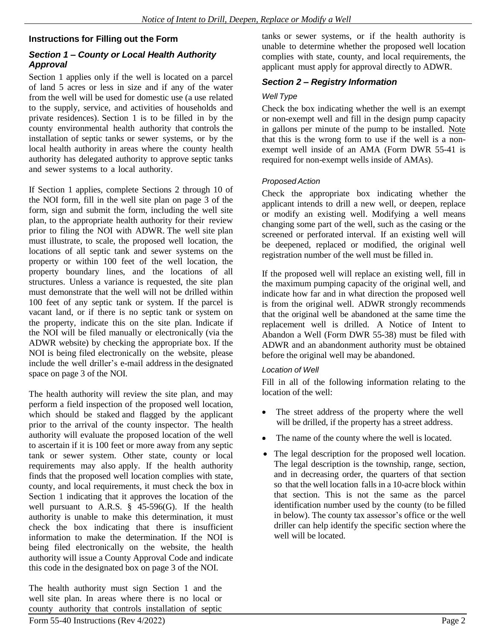# **Instructions for Filling out the Form**

#### *Section 1 – County or Local Health Authority Approval*

Section 1 applies only if the well is located on a parcel of land 5 acres or less in size and if any of the water from the well will be used for domestic use (a use related to the supply, service, and activities of households and private residences). Section 1 is to be filled in by the county environmental health authority that controls the installation of septic tanks or sewer systems, or by the local health authority in areas where the county health authority has delegated authority to approve septic tanks and sewer systems to a local authority.

If Section 1 applies, complete Sections 2 through 10 of the NOI form, fill in the well site plan on page 3 of the form, sign and submit the form, including the well site plan, to the appropriate health authority for their review prior to filing the NOI with ADWR. The well site plan must illustrate, to scale, the proposed well location, the locations of all septic tank and sewer systems on the property or within 100 feet of the well location, the property boundary lines, and the locations of all structures. Unless a variance is requested, the site plan must demonstrate that the well will not be drilled within 100 feet of any septic tank or system. If the parcel is vacant land, or if there is no septic tank or system on the property, indicate this on the site plan. Indicate if the NOI will be filed manually or electronically (via the ADWR website) by checking the appropriate box. If the NOI is being filed electronically on the website, please include the well driller's e-mail address in the designated space on page 3 of the NOI.

The health authority will review the site plan, and may perform a field inspection of the proposed well location, which should be staked and flagged by the applicant prior to the arrival of the county inspector. The health authority will evaluate the proposed location of the well to ascertain if it is 100 feet or more away from any septic tank or sewer system. Other state, county or local requirements may also apply. If the health authority finds that the proposed well location complies with state, county, and local requirements, it must check the box in Section 1 indicating that it approves the location of the well pursuant to A.R.S. § 45-596(G). If the health authority is unable to make this determination, it must check the box indicating that there is insufficient information to make the determination. If the NOI is being filed electronically on the website, the health authority will issue a County Approval Code and indicate this code in the designated box on page 3 of the NOI.

The health authority must sign Section 1 and the well site plan. In areas where there is no local or county authority that controls installation of septic tanks or sewer systems, or if the health authority is unable to determine whether the proposed well location complies with state, county, and local requirements, the applicant must apply for approval directly to ADWR.

# *Section 2 – Registry Information*

#### *Well Type*

Check the box indicating whether the well is an exempt or non-exempt well and fill in the design pump capacity in gallons per minute of the pump to be installed. Note that this is the wrong form to use if the well is a nonexempt well inside of an AMA (Form DWR 55-41 is required for non-exempt wells inside of AMAs).

#### *Proposed Action*

Check the appropriate box indicating whether the applicant intends to drill a new well, or deepen, replace or modify an existing well. Modifying a well means changing some part of the well, such as the casing or the screened or perforated interval. If an existing well will be deepened, replaced or modified, the original well registration number of the well must be filled in.

If the proposed well will replace an existing well, fill in the maximum pumping capacity of the original well, and indicate how far and in what direction the proposed well is from the original well. ADWR strongly recommends that the original well be abandoned at the same time the replacement well is drilled. A Notice of Intent to Abandon a Well (Form DWR 55-38) must be filed with ADWR and an abandonment authority must be obtained before the original well may be abandoned.

#### *Location of Well*

Fill in all of the following information relating to the location of the well:

- The street address of the property where the well will be drilled, if the property has a street address.
- The name of the county where the well is located.
- The legal description for the proposed well location. The legal description is the township, range, section, and in decreasing order, the quarters of that section so that the well location falls in a 10-acre block within that section. This is not the same as the parcel identification number used by the county (to be filled in below). The county tax assessor's office or the well driller can help identify the specific section where the well will be located.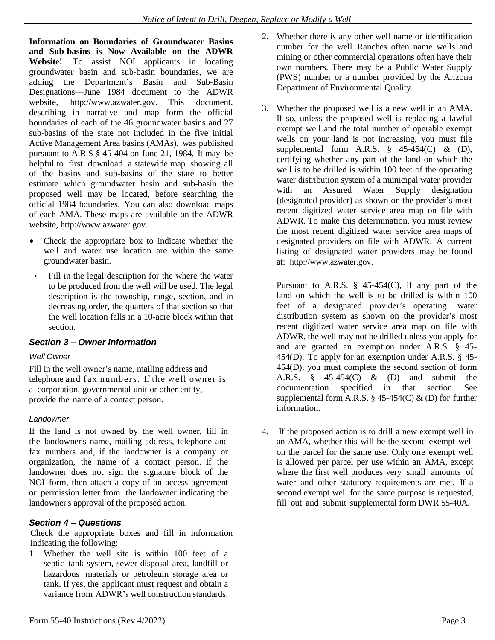**Information on Boundaries of Groundwater Basins and Sub-basins is Now Available on the ADWR Website!** To assist NOI applicants in locating groundwater basin and sub-basin boundaries, we are adding the Department's Basin and Sub-Basin Designations—June 1984 document to the ADWR website, [http://www.azwater.gov.](http://www.azwater.gov/) This document, describing in narrative and map form the official boundaries of each of the 46 groundwater basins and 27 sub-basins of the state not included in the five initial Active Management Area basins (AMAs), was published pursuant to A.R.S § 45-404 on June 21, 1984. It may be helpful to first download a statewide map showing all of the basins and sub-basins of the state to better estimate which groundwater basin and sub-basin the proposed well may be located, before searching the official 1984 boundaries. You can also download maps of each AMA. These maps are available on the ADWR website[, http://www.azwater.gov.](http://www.azwater.gov/)

- Check the appropriate box to indicate whether the  $\bullet$ well and water use location are within the same groundwater basin.
- Fill in the legal description for the where the water to be produced from the well will be used. The legal description is the township, range, section, and in decreasing order, the quarters of that section so that the well location falls in a 10-acre block within that section.

# *Section 3 – Owner Information*

#### *Well Owner*

Fill in the well owner's name, mailing address and telephone and fax numbers. If the well owner is a corporation, governmental unit or other entity, provide the name of a contact person.

#### *Landowner*

If the land is not owned by the well owner, fill in the landowner's name, mailing address, telephone and fax numbers and, if the landowner is a company or organization, the name of a contact person. If the landowner does not sign the signature block of the NOI form, then attach a copy of an access agreement or permission letter from the landowner indicating the landowner's approval of the proposed action.

# *Section 4 – Questions*

Check the appropriate boxes and fill in information indicating the following:

1. Whether the well site is within 100 feet of a septic tank system, sewer disposal area, landfill or hazardous materials or petroleum storage area or tank. If yes, the applicant must request and obtain a variance from ADWR's well construction standards.

- 2. Whether there is any other well name or identification number for the well. Ranches often name wells and mining or other commercial operations often have their own numbers. There may be a Public Water Supply (PWS) number or a number provided by the Arizona Department of Environmental Quality.
- 3. Whether the proposed well is a new well in an AMA. If so, unless the proposed well is replacing a lawful exempt well and the total number of operable exempt wells on your land is not increasing, you must file supplemental form A.R.S.  $\frac{8}{9}$  45-454(C) & (D), certifying whether any part of the land on which the well is to be drilled is within 100 feet of the operating water distribution system of a municipal water provider with an Assured Water Supply designation (designated provider) as shown on the provider's most recent digitized water service area map on file with ADWR. To make this determination, you must review the most recent digitized water service area maps of designated providers on file with ADWR. A current listing of designated water providers may be found at: [http://www.azwater.gov.](http://www.azwater.gov/)

Pursuant to A.R.S.  $\S$  45-454(C), if any part of the land on which the well is to be drilled is within 100 feet of a designated provider's operating water distribution system as shown on the provider's most recent digitized water service area map on file with ADWR, the well may not be drilled unless you apply for and are granted an exemption under A.R.S. § 45- 454(D). To apply for an exemption under A.R.S. § 45- 454(D), you must complete the second section of form A.R.S. § 45-454(C) & (D) and submit the documentation specified in that section. See supplemental form A.R.S.  $\S$  45-454(C) & (D) for further information.

4. If the proposed action is to drill a new exempt well in an AMA, whether this will be the second exempt well on the parcel for the same use. Only one exempt well is allowed per parcel per use within an AMA, except where the first well produces very small amounts of water and other statutory requirements are met. If a second exempt well for the same purpose is requested, fill out and submit supplemental form DWR 55-40A.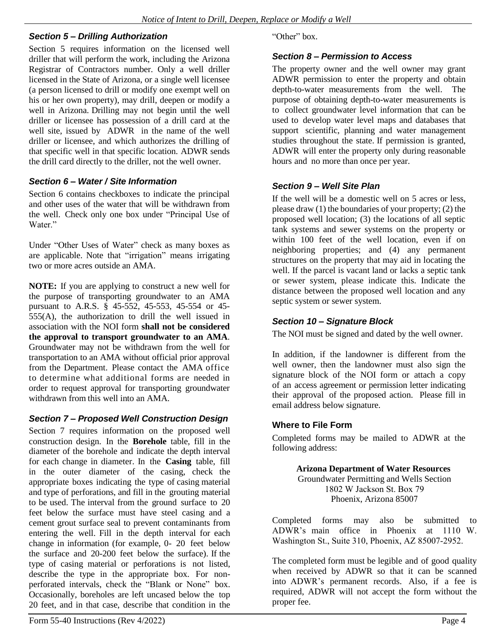#### *Section 5 – Drilling Authorization*

Section 5 requires information on the licensed well driller that will perform the work, including the Arizona Registrar of Contractors number. Only a well driller licensed in the State of Arizona, or a single well licensee (a person licensed to drill or modify one exempt well on his or her own property), may drill, deepen or modify a well in Arizona. Drilling may not begin until the well driller or licensee has possession of a drill card at the well site, issued by ADWR in the name of the well driller or licensee, and which authorizes the drilling of that specific well in that specific location. ADWR sends the drill card directly to the driller, not the well owner.

#### *Section 6 – Water / Site Information*

Section 6 contains checkboxes to indicate the principal and other uses of the water that will be withdrawn from the well. Check only one box under "Principal Use of Water"

Under "Other Uses of Water" check as many boxes as are applicable. Note that "irrigation" means irrigating two or more acres outside an AMA.

**NOTE:** If you are applying to construct a new well for the purpose of transporting groundwater to an AMA pursuant to A.R.S. § 45-552, 45-553, 45-554 or 45- 555(A), the authorization to drill the well issued in association with the NOI form **shall not be considered the approval to transport groundwater to an AMA**. Groundwater may not be withdrawn from the well for transportation to an AMA without official prior approval from the Department. Please contact the AMA office to determine what additional forms are needed in order to request approval for transporting groundwater withdrawn from this well into an AMA.

#### *Section 7 – Proposed Well Construction Design*

Section 7 requires information on the proposed well construction design. In the **Borehole** table, fill in the diameter of the borehole and indicate the depth interval for each change in diameter. In the **Casing** table, fill in the outer diameter of the casing, check the appropriate boxes indicating the type of casing material and type of perforations, and fill in the grouting material to be used. The interval from the ground surface to 20 feet below the surface must have steel casing and a cement grout surface seal to prevent contaminants from entering the well. Fill in the depth interval for each change in information (for example, 0- 20 feet below the surface and 20-200 feet below the surface). If the type of casing material or perforations is not listed, describe the type in the appropriate box. For nonperforated intervals, check the "Blank or None" box. Occasionally, boreholes are left uncased below the top 20 feet, and in that case, describe that condition in the

"Other" box.

#### *Section 8 – Permission to Access*

The property owner and the well owner may grant ADWR permission to enter the property and obtain depth-to-water measurements from the well. The purpose of obtaining depth-to-water measurements is to collect groundwater level information that can be used to develop water level maps and databases that support scientific, planning and water management studies throughout the state. If permission is granted, ADWR will enter the property only during reasonable hours and no more than once per year.

# *Section 9 – Well Site Plan*

If the well will be a domestic well on 5 acres or less, please draw (1) the boundaries of your property; (2) the proposed well location; (3) the locations of all septic tank systems and sewer systems on the property or within 100 feet of the well location, even if on neighboring properties; and (4) any permanent structures on the property that may aid in locating the well. If the parcel is vacant land or lacks a septic tank or sewer system, please indicate this. Indicate the distance between the proposed well location and any septic system or sewer system.

#### *Section 10 – Signature Block*

The NOI must be signed and dated by the well owner.

In addition, if the landowner is different from the well owner, then the landowner must also sign the signature block of the NOI form or attach a copy of an access agreement or permission letter indicating their approval of the proposed action. Please fill in email address below signature.

#### **Where to File Form**

Completed forms may be mailed to ADWR at the following address:

> **Arizona Department of Water Resources** Groundwater Permitting and Wells Section 1802 W Jackson St. Box 79 Phoenix, Arizona 85007

Completed forms may also be submitted to ADWR's main office in Phoenix at 1110 W. Washington St., Suite 310, Phoenix, AZ 85007-2952.

The completed form must be legible and of good quality when received by ADWR so that it can be scanned into ADWR's permanent records. Also, if a fee is required, ADWR will not accept the form without the proper fee.